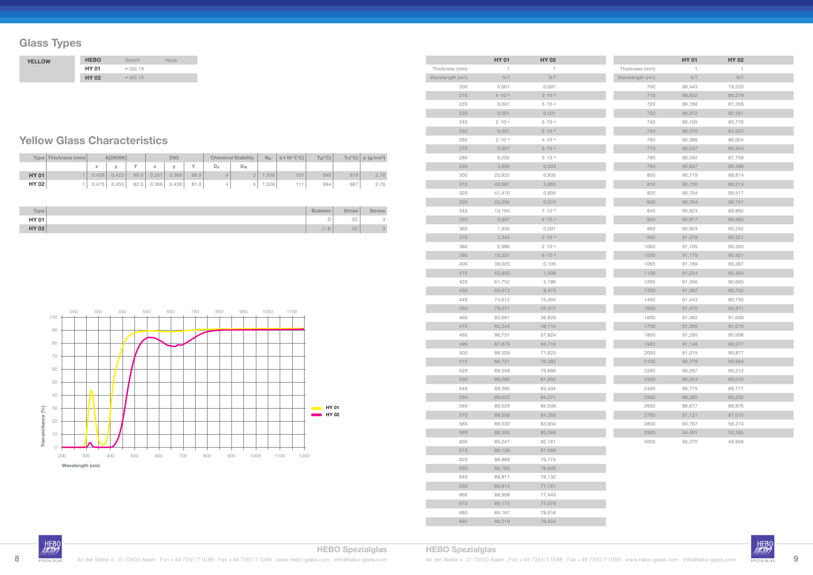# **Glass Types**

#### **Yellow Glass Characteristics**

|              | Type   Thickness (mm) |       | A[2856K] |      |       | D65   |      |       | <b>Chemical Stability</b> |      | $\alpha$ × 10-7(°C) | $T_{\alpha}$ (°C) |     | $T_s(^{\circ}C)$   $\rho$ (g/cm <sup>3</sup> ) |
|--------------|-----------------------|-------|----------|------|-------|-------|------|-------|---------------------------|------|---------------------|-------------------|-----|------------------------------------------------|
|              |                       |       |          |      |       |       |      | $D_A$ | D <sub>W</sub>            |      |                     |                   |     |                                                |
| <b>HY 01</b> |                       | 0.459 | 0.423    | 89.0 | 0.331 | 0.366 | 89.0 |       |                           | .536 | 107                 | 549               | 619 | 2.78                                           |
| <b>HY 02</b> |                       | 0.473 | 0.453    | 82.0 | 0.366 | 0.438 | 81.0 |       |                           | .526 | 111                 | 594               | 667 | 2.76                                           |

| Type <sub>1</sub> | <b>Bubbles</b> | <b>Striae</b> | <b>Stress</b> |
|-------------------|----------------|---------------|---------------|
| <b>HY 01</b>      |                | 3C            | $\sim$<br>◡   |
| <b>HY 02</b>      | $C-B$          | 3C            | $\Omega$<br>◡ |

| <b>YELLOW</b> | <b>HEBO</b>  | Schott          | Hoya |
|---------------|--------------|-----------------|------|
|               | <b>HY 01</b> | $\approx$ GG 19 |      |
|               | <b>HY 02</b> | $\approx$ GG 10 |      |

|                 | <b>HY 01</b>      | <b>HY 02</b>     |  |
|-----------------|-------------------|------------------|--|
| Thickness (mm)  | 1                 | 1                |  |
| Wavelength (nm) | %T                | %T               |  |
| 200             | 0,001             | 0,001            |  |
| 210             | $4.10 - 5$        | $3 \cdot 10 - 5$ |  |
| 220             | 0,001             | $5.10 - 4$       |  |
| 230             | 0,001             | 0,001            |  |
| 240             | $2 \cdot 10 - 4$  | $5 - 10 - 4$     |  |
| 250             | 0,001             | $6.10 - 5$       |  |
| 260             | $2 \cdot 10^{-4}$ | $4.10 - 4$       |  |
| 270             | 0,007             | $9.10 - 5$       |  |
| 280             | 0,202             | $5.10 - 4$       |  |
| 290             | 3,800             | 0,003            |  |
| 300             | 20,822            | 0,935            |  |
| 310             | 40,687            | 3,665            |  |
| 320             | 41,410            | 0,804            |  |
| 330             | 25,256            | 0,010            |  |
| 340             | 10,165            | $7 \cdot 10 - 5$ |  |
| 350             | 3,657             | $4.10 - 4$       |  |
| 360             | 1,935             | 0,001            |  |
| 370             | 2,344             | $2.10 - 4$       |  |
| 380             | 5,986             | $2.10 - 4$       |  |
| 390             | 18,331            | $6.10 - 4$       |  |
| 400             | 39,020            | 0,105            |  |
| 410             | 53,850            | 1,508            |  |
| 420             | 61,752            | 4,186            |  |
| 430             | 68,513            | 8,473            |  |
| 440             | 74,612            | 15,464           |  |
| 450             | 79,571            | 25,317           |  |
| 460             | 83,091            | 36,828           |  |
| 470             | 85,343            | 48,114           |  |
| 480             | 86,731            | 57,824           |  |
| 490             | 87,679            | 65,716           |  |
| 500             | 88,309            | 71,823           |  |
| 510             | 88,731            | 76,382           |  |
| 520             | 89,048            | 79,686           |  |
| 530             | 89,280            | 81,950           |  |
| 540             | 89,395            | 83,404           |  |
| 550             | 89,523            | 84,271           |  |
| 560             | 89,529            | 84,509           |  |
| 570             | 89,508            | 84,368           |  |
| 580             | 89,530            | 83,934           |  |
| 590             | 89,300            | 83,068           |  |
| 600             | 89,247            | 82,161           |  |
| 610             | 89,138            | 81,069           |  |
| 620             | 88,889            | 79,774           |  |
| 630             | 88,785            | 78,646           |  |
| 640             | 88,811            | 78,132           |  |
| 650             | 88,814            | 77,761           |  |
| 660             | 88,908            | 77,443           |  |
| 670             | 89,113            | 77,979           |  |
| 680             | 89,167            | 78,816           |  |
| 690             | 89,219            | 78,504           |  |

|                 | <b>HY 01</b> | <b>HY 02</b> |  |
|-----------------|--------------|--------------|--|
| Thickness (mm)  | 1            | 1            |  |
| Wavelength (nm) | %T           | %T           |  |
| 700             | 89,443       | 79,233       |  |
| 710             | 89,652       | 80,278       |  |
| 720             | 89,788       | 81,358       |  |
| 730             | 89,972       | 82,591       |  |
| 740             | 90,105       | 83,776       |  |
| 750             | 90,270       | 84,922       |  |
| 760             | 90,386       | 86,004       |  |
| 770             | 90,547       | 86,944       |  |
| 780             | 90,592       | 87,739       |  |
| 790             | 90,637       | 88,396       |  |
| 800             | 90,719       | 88,814       |  |
| 810             | 90,730       | 89,214       |  |
| 820             | 90,754       | 89,517       |  |
| 830             | 90,784       | 89,731       |  |
| 840             | 90,823       | 89,862       |  |
| 850             | 90,817       | 89,980       |  |
| 900             | 90,953       | 90,242       |  |
| 950             | 91,078       | 90,321       |  |
| 1000            | 91,105       | 90,350       |  |
| 1050            | 91,179       | 90,421       |  |
| 1065            | 91,189       | 90,397       |  |
| 1100            | 91,224       | 90,484       |  |
| 1200            | 91,356       | 90,663       |  |
| 1300            | 91,387       | 90,762       |  |
| 1400            | 91,443       | 90,750       |  |
| 1500            | 91,470       | 90,911       |  |
| 1600            | 91,482       | 91,009       |  |
| 1700            | 91,395       | 91,016       |  |
| 1800            | 91,280       | 90,998       |  |
| 1900            | 91,148       | 90,977       |  |
| 2000            | 91,015       | 90,877       |  |
| 2100            | 90,779       | 90,694       |  |
| 2200            | 90,287       | 90,212       |  |
| 2300            | 90,054       | 90,012       |  |
| 2400            | 89,775       | 89,771       |  |
| 2500            | 89,285       | 89,252       |  |
| 2600            | 88,677       | 88,876       |  |
| 2700            | 87,121       | 87,016       |  |
| 2800            | 60,767       | 58,274       |  |
| 2900            | 54,491       | 53,385       |  |
| 3000            | 50,370       | 49,959       |  |

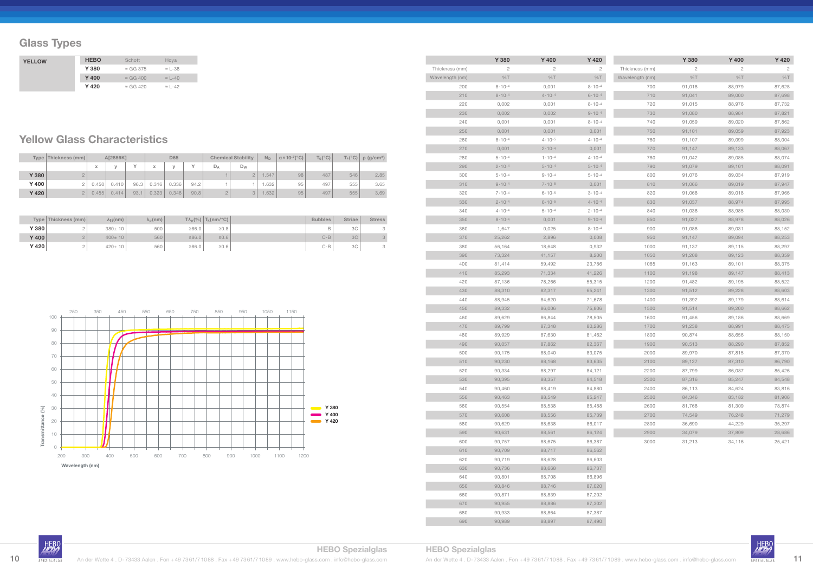# **Glass Types**

### **Yellow Glass Characteristics**

|       | Type   Thickness (mm) |                   | A[2856K] |      |       | <b>D65</b> |           |       | <b>Chemical Stability</b> |      | $\alpha$ × 10-7( $^{\circ}$ C) | $T_g$ (°C) |     | $T_s(^{\circ}C)$ $\rho$ (g/cm <sup>3</sup> ) |
|-------|-----------------------|-------------------|----------|------|-------|------------|-----------|-------|---------------------------|------|--------------------------------|------------|-----|----------------------------------------------|
|       |                       | $\mathbf{v}$<br>л |          |      | x     |            | $\sqrt{}$ | $D_A$ | $D_W$                     |      |                                |            |     |                                              |
| Y 380 |                       |                   |          |      |       |            |           |       |                           | .547 | 98                             | 487        | 546 | 2.85                                         |
| Y 400 |                       | 0.450             | 0.410    | 96.3 | 0.316 | 0.336      | 94.2      |       |                           | .632 | 95                             | 497        | 555 | 3.65                                         |
| Y 420 |                       | 0.455             | 0.414    | 93.1 | 0.323 | 0.346      | 90.8      |       | 3                         | .632 | 95                             | 497        | 555 | 3.69                                         |

|       | Type Thickness (mm) | λ <sub>ti</sub> (nm) | $\lambda_{\rm D}$ (nm) |       | $T\lambda_p$ (%) $T_k$ (nm/°C) | <b>Bubbles</b> | <b>Striae</b> | <b>Stress</b> |
|-------|---------------------|----------------------|------------------------|-------|--------------------------------|----------------|---------------|---------------|
| Y 380 |                     | $380 \pm 10$         | 500                    | ≥86.0 | $\geq 0.8$                     | B              | 3C            | $\circ$<br>◡  |
| Y 400 |                     | $400 \pm 10$         | 560                    | 286.0 | $\geq 0.6$                     | $C-B$          | 3C            | $\Omega$      |
| Y 420 |                     | $420 \pm 10$         | 560                    | 286.0 | $\geq 0.6$                     | $C-B$          | 3C            | $\sim$<br>◡   |

|                 | Y 380             | Y 400        | Y 420             |
|-----------------|-------------------|--------------|-------------------|
| Thickness (mm)  | 2                 | 2            | 2                 |
| Wavelength (nm) | %T                | %T           | %T                |
| 200             | $8.10 - 4$        | 0,001        | $8 \cdot 10^{-4}$ |
| 210             | $8.10 - 4$        | $4.10 - 4$   | $6.10 - 4$        |
| 220             | 0,002             | 0,001        | $8 \cdot 10^{-4}$ |
| 230             | 0,002             | 0,002        | $9.10 - 4$        |
| 240             | 0,001             | 0,001        | $8 \cdot 10 - 4$  |
| 250             | 0,001             | 0,001        | 0,001             |
| 260             | $8.10 - 4$        | $4.10 - 5$   | $4 \cdot 10^{-4}$ |
| 270             | 0,001             | $2.10 - 4$   | 0,001             |
| 280             | $5 \cdot 10^{-4}$ | $1.10 - 4$   | $4 \cdot 10^{-4}$ |
| 290             | $2 \cdot 10^{-4}$ | $5.10 - 4$   | $5 \cdot 10^{-4}$ |
| 300             | $5 - 10 - 4$      | $9.10 - 4$   | $5 \cdot 10^{-4}$ |
| 310             | $9.10 - 4$        | $7.10 - 5$   | 0,001             |
| 320             | $7 \cdot 10^{-4}$ | $6.10 - 5$   | $3 \cdot 10^{-4}$ |
| 330             | $2.10 - 4$        | $6.10 - 5$   | $4.10 - 4$        |
| 340             | $4 \cdot 10 - 4$  | $5 - 10 - 4$ | $2 \cdot 10 - 4$  |
| 350             | $8 \cdot 10^{-4}$ | 0,001        | $9.10 - 4$        |
| 360             | 1,647             | 0,025        | $8.10 - 4$        |
| 370             | 25,262            | 2,896        | 0,008             |
| 380             | 56,164            | 18,648       | 0,932             |
| 390             | 73,324            | 41,157       | 8,200             |
| 400             | 81,414            | 59,492       | 23,786            |
| 410             | 85,293            | 71,334       | 41,226            |
| 420             | 87,136            | 78,266       | 55,315            |
| 430             | 88,310            | 82,317       | 65,241            |
| 440             | 88,945            | 84,620       | 71,678            |
| 450             | 89,332            | 86,006       | 75,806            |
| 460             | 89,629            | 86,844       | 78,505            |
| 470             | 89,799            | 87,348       | 80,286            |
| 480             | 89,929            | 87,630       | 81,462            |
| 490             | 90,057            | 87,862       | 82,367            |
| 500             | 90,175            | 88,040       | 83,075            |
| 510             | 90,230            | 88,168       | 83,635            |
| 520             | 90,334            | 88,297       | 84,121            |
| 530             | 90,395            | 88,357       | 84,518            |
| 540             | 90,460            | 88,419       | 84,880            |
| 550             | 90,463            | 88,549       | 85,247            |
| 560             | 90,554            | 88,538       | 85,488            |
| 570             | 90,608            | 88,556       | 85,739            |
| 580             | 90,629            | 88,638       | 86,017            |
| 590             | 90,631            | 88,561       | 86,124            |
| 600             | 90,757            | 88,675       | 86,387            |
| 610             | 90,709            | 88,717       | 86,562            |
| 620             | 90,719            | 88,628       | 86,603            |
| 630             | 90,736            | 88,668       | 86,737            |
| 640             | 90,801            | 88,708       | 86,896            |
| 650             | 90,846            | 88,746       | 87,020            |
| 660             | 90,871            | 88,839       | 87,202            |
| 670             | 90,955            | 88,886       | 87,302            |
| 680             | 90,933            | 88,864       | 87,387            |
| 690             | 90,989            | 88,897       | 87,490            |

|                 | Y 380  | Y 400  | Y 420  |
|-----------------|--------|--------|--------|
| Thickness (mm)  | 2      | 2      | 2      |
| Wavelength (nm) | %T     | %T     | %T     |
| 700             | 91,018 | 88,979 | 87,628 |
| 710             | 91,041 | 89,000 | 87,698 |
| 720             | 91,015 | 88,976 | 87,732 |
| 730             | 91,080 | 88,984 | 87,821 |
| 740             | 91,059 | 89,020 | 87,862 |
| 750             | 91,101 | 89,059 | 87,923 |
| 760             | 91,107 | 89,099 | 88,004 |
| 770             | 91,147 | 89,133 | 88,067 |
| 780             | 91,042 | 89,085 | 88,074 |
| 790             | 91,079 | 89,101 | 88,091 |
| 800             | 91,076 | 89,034 | 87,919 |
| 810             | 91,066 | 89,019 | 87,947 |
| 820             | 91,068 | 89,018 | 87,966 |
| 830             | 91,037 | 88,974 | 87,995 |
| 840             | 91,036 | 88,985 | 88,030 |
| 850             | 91,027 | 88,978 | 88,026 |
| 900             | 91,088 | 89,031 | 88,152 |
| 950             | 91,147 | 89,094 | 88,253 |
| 1000            | 91,137 | 89,115 | 88,297 |
| 1050            | 91,208 | 89,123 | 88,359 |
| 1065            | 91,163 | 89,101 | 88,375 |
| 1100            | 91,198 | 89,147 | 88,413 |
| 1200            | 91,482 | 89,195 | 88,522 |
| 1300            | 91,512 | 89,228 | 88,603 |
| 1400            | 91,392 | 89,179 | 88,614 |
| 1500            | 91,514 | 89,200 | 88,662 |
| 1600            | 91,456 | 89,186 | 88,669 |
| 1700            | 91,238 | 88,991 | 88,475 |
| 1800            | 90,874 | 88,656 | 88,150 |
| 1900            | 90,513 | 88,290 | 87,852 |
| 2000            | 89,970 | 87,815 | 87,370 |
| 2100            | 89,127 | 87,310 | 86,790 |
| 2200            | 87,799 | 86,087 | 85,426 |
| 2300            | 87,316 | 85,247 | 84,548 |
| 2400            | 86,113 | 84,624 | 83,816 |
| 2500            | 84,346 | 83,182 | 81,906 |
| 2600            | 81,768 | 81,309 | 78,874 |
| 2700            | 74,549 | 76,248 | 71,279 |
| 2800            | 36,690 | 44,229 | 35,297 |
| 2900            | 34,079 | 37,809 | 28,686 |
| 3000            | 31,213 | 34,116 | 25,421 |



| <b>YELLOW</b> | <b>HEBO</b> | Schott           | Hoya           |
|---------------|-------------|------------------|----------------|
|               | Y 380       | $\approx$ GG 375 | $\approx$ L-38 |
|               | Y 400       | $\approx$ GG 400 | $\approx$ L-40 |
|               | Y 420       | $\approx$ GG 420 | $\approx 1-42$ |